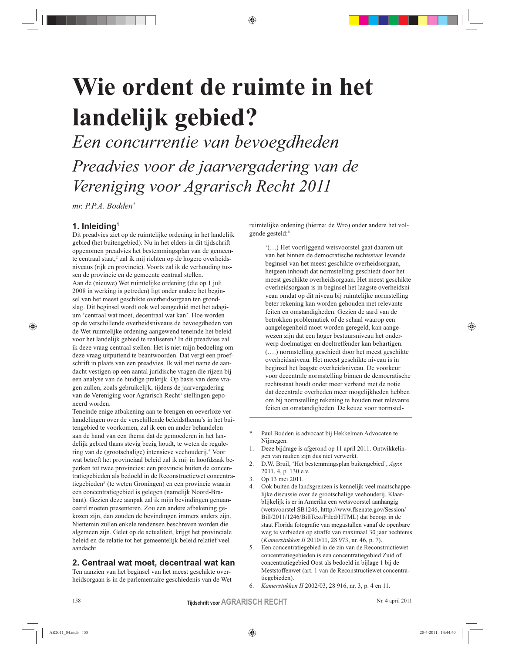♠

Een concurrentie van bevoegdheden Preadvies voor de jaarvergadering van de Vereniging voor Agrarisch Recht 2011

mr. P.P.A. Bodden\*

# 1. Inleiding<sup>1</sup>

⊕

Dit preadvies ziet op de ruimtelijke ordening in het landelijk gebied (het buitengebied). Nu in het elders in dit tijdschrift opgenomen preadvies het bestemmingsplan van de gemeente centraal staat,<sup>2</sup> zal ik mij richten op de hogere overheidsniveaus (rijk en provincie). Voorts zal ik de verhouding tussen de provincie en de gemeente centraal stellen. Aan de (nieuwe) Wet ruimtelijke ordening (die op 1 juli 2008 in werking is getreden) ligt onder andere het beginsel van het meest geschikte overheidsorgaan ten grondslag. Dit beginsel wordt ook wel aangeduid met het adagium 'centraal wat moet, decentraal wat kan'. Hoe worden op de verschillende overheidsniveaus de bevoegdheden van de Wet ruimtelijke ordening aangewend teneinde het beleid voor het landelijk gebied te realiseren? In dit preadvies zal ik deze vraag centraal stellen. Het is niet mijn bedoeling om deze vraag uitputtend te beantwoorden. Dat vergt een proefschrift in plaats van een preadvies. Ik wil met name de aandacht vestigen op een aantal juridische vragen die rijzen bij een analyse van de huidige praktijk. Op basis van deze vragen zullen, zoals gebruikelijk, tijdens de jaarvergadering van de Vereniging voor Agrarisch Recht<sup>3</sup> stellingen geponeerd worden

Teneinde enige afbakening aan te brengen en oeverloze verhandelingen over de verschillende beleidsthema's in het buitengebied te voorkomen, zal ik een en ander behandelen aan de hand van een thema dat de gemoederen in het landelijk gebied thans stevig bezig houdt, te weten de regulering van de (grootschalige) intensieve veehouderij.<sup>4</sup> Voor wat betreft het provinciaal beleid zal ik mij in hoofdzaak beperken tot twee provincies: een provincie buiten de concentratiegebieden als bedoeld in de Reconstructiewet concentratiegebieden<sup>5</sup> (te weten Groningen) en een provincie waarin een concentratiegebied is gelegen (namelijk Noord-Brabant). Gezien deze aanpak zal ik mijn bevindingen genuanceerd moeten presenteren. Zou een andere afbakening gekozen zijn, dan zouden de bevindingen immers anders zijn. Niettemin zullen enkele tendensen beschreven worden die algemeen zijn. Gelet op de actualiteit, krijgt het provinciale beleid en de relatie tot het gemeentelijk beleid relatief veel aandacht.

# 2. Centraal wat moet, decentraal wat kan

Ten aanzien van het beginsel van het meest geschikte overheidsorgaan is in de parlementaire geschiedenis van de Wet ruimtelijke ordening (hierna: de Wro) onder andere het volgende gesteld:6

'(...) Het voorliggend wetsvoorstel gaat daarom uit van het binnen de democratische rechtsstaat levende beginsel van het meest geschikte overheidsorgaan, hetgeen inhoudt dat normstelling geschiedt door het meest geschikte overheidsorgaan. Het meest geschikte overheidsorgaan is in beginsel het laagste overheidsniveau omdat op dit niveau bij ruimtelijke normstelling beter rekening kan worden gehouden met relevante feiten en omstandigheden. Gezien de aard van de betrokken problematiek of de schaal waarop een aangelegenheid moet worden geregeld, kan aangewezen zijn dat een hoger bestuursniveau het onderwerp doelmatiger en doeltreffender kan behartigen. (....) normstelling geschiedt door het meest geschikte overheidsniveau. Het meest geschikte niveau is in beginsel het laagste overheidsniveau. De voorkeur voor decentrale normstelling binnen de democratische rechtsstaat houdt onder meer verband met de notie dat decentrale overheden meer mogelijkheden hebben om bij normstelling rekening te houden met relevante feiten en omstandigheden. De keuze voor normstel-

Paul Bodden is advocaat bij Hekkelman Advocaten te Nijmegen.

- Deze bijdrage is afgerond op 11 april 2011. Ontwikkelingen van nadien zijn dus niet verwerkt.
- 2. D.W. Bruil, 'Het bestemmingsplan buitengebied', Agr.r. 2011, 4, p. 130 e.v.
- $\mathcal{Z}$ Op 13 mei 2011.
- Ook buiten de landsgrenzen is kennelijk veel maatschappelijke discussie over de grootschalige veehouderij. Klaarblijkelijk is er in Amerika een wetsvoorstel aanhangig (wetsvoorstel SB1246, htttp://www.fisenate.gov/Session/ Bill/2011/1246/BillText/Filed/HTML) dat beoogt in de staat Florida fotografie van megastallen vanaf de openbare weg te verbieden op straffe van maximaal 30 jaar hechtenis (Kamerstukken II 2010/11, 28 973, nr. 46, p. 7).
- Een concentratiegebied in de zin van de Reconstructiewet concentratiegebieden is een concentratiegebied Zuid of concentratiegebied Oost als bedoeld in bijlage 1 bij de Meststoffenwet (art. 1 van de Reconstructiewet concentratiegebieden).
- Kamerstukken II 2002/03, 28 916, nr. 3, p. 4 en 11. 6.

158

♠

**Tijdschrift voor AGRARISCH RECHT**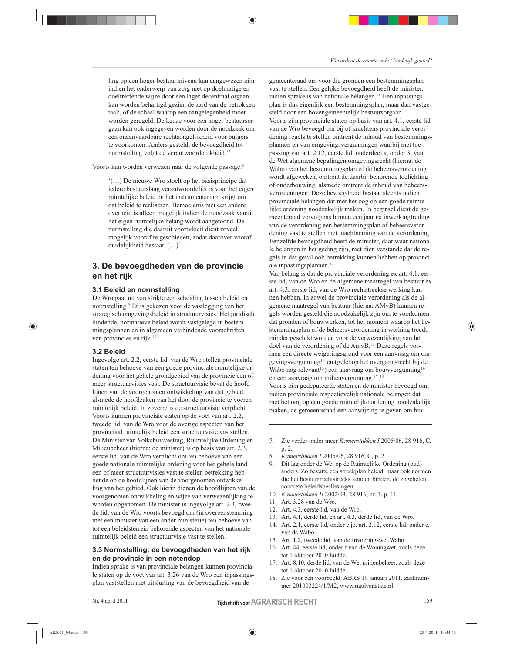ling op een hoger bestuursniveau kan aangewezen zijn indien het onderwerp van zorg niet op doelmatige en doeltreffende wijze door een lager decentraal orgaan kan worden behartigd gezien de aard van de betrokken taak, of de schaal waarop een aangelegenheid moet worden geregeld. De keuze voor een hoger bestuursorgaan kan ook ingegeven worden door de noodzaak om een onaanvaardbare rechtsongelijkheid voor burgers te voorkomen. Anders gesteld: de bevoegdheid tot normstelling volgt de verantwoordelijkheid."

♠

Voorts kan worden verwezen naar de volgende passage:8

"(...) De nieuwe Wro stoelt op het basisprincipe dat iedere bestuurslaag verantwoordelijk is voor het eigen ruimtelijke beleid en het instrumentarium krijgt om dat beleid te realiseren. Bemoeienis met een andere overheid is alleen mogelijk indien de noodzaak vanuit het eigen ruimtelijke belang wordt aangetoond. De normstelling die daaruit voortvloeit dient zoveel mogelijk vooraf te geschieden, zodat daarover vooraf duidelijkheid bestaat. (...)'

# 3. De bevoegdheden van de provincie en het rijk

## 3.1 Beleid en normstelling

De Wro gaat uit van strikte een scheiding tussen beleid en normstelling.<sup>9</sup> Er is gekozen voor de vastlegging van het strategisch omgevingsbeleid in structuurvisies. Het juridisch bindende, normatieve beleid wordt vastgelegd in bestemmingsplannen en in algemeen verbindende voorschriften van provincies en rijk.<sup>10</sup>

#### 3.2 Beleid

⊕

Ingevolge art. 2.2, eerste lid, van de Wro stellen provinciale staten ten behoeve van een goede provinciale ruimtelijke ordening voor het gehele grondgebied van de provincie een of meer structuurvisies vast. De structuurvisie bevat de hoofdlijnen van de voorgenomen ontwikkeling van dat gebied, alsmede de hoofdzaken van het door de provincie te voeren ruimtelijk beleid. In zoverre is de structuurvisie verplicht. Voorts kunnen provinciale staten op de voet van art. 2.2, tweede lid, van de Wro voor de overige aspecten van het provinciaal ruimtelijk beleid een structuurvisie vaststellen. De Minister van Volkshuisvesting, Ruimtelijke Ordening en Milieubeheer (hierna: de minister) is op basis van art. 2.3, eerste lid, van de Wro verplicht om ten behoeve van een goede nationale ruimtelijke ordening voor het gehele land een of meer structuurvisies vast te stellen betrekking hebbende op de hoofdlijnen van de voorgenomen ontwikkeling van het gebied. Ook hierin dienen de hoofdlijnen van de voorgenomen ontwikkeling en wijze van verwezenlijking te worden opgenomen. De minister is ingevolge art. 2.3, tweede lid, van de Wro voorts bevoegd om (in overeenstemming met een minister van een ander ministerie) ten behoeve van tot een beleidsterrein behorende aspecten van het nationale ruimtelijk beleid een structuurvisie vast te stellen.

# 3.3 Normstelling; de bevoegdheden van het rijk en de provincie in een notendop

Indien sprake is van provinciale belangen kunnen provinciale staten op de voet van art. 3.26 van de Wro een inpassingsplan vaststellen met uitsluiting van de bevoegdheid van de

Nr. 4 april 2011

gemeenteraad om voor die gronden een bestemmingsplan

vast te stellen. Een gelijke bevoegdheid heeft de minister, indien sprake is van nationale belangen.<sup>11</sup> Een inpassingsplan is dus eigenlijk een bestemmingsplan, maar dan vastgesteld door een bovengemeentelijk bestuursorgaan. Voorts zijn provinciale staten op basis van art. 4.1, eerste lid van de Wro bevoegd om bij of krachtens provinciale verordening regels te stellen omtrent de inhoud van bestemmingsplannen en van omgevingsvergunningen waarbij met toepassing van art. 2.12, eerste lid, onderdeel a, onder 3, van de Wet algemene bepalingen omgevingsrecht (hierna: de Wabo) van het bestemmingsplan of de beheersverordening wordt afgeweken, omtrent de daarbij behorende toelichting of onderbouwing, alsmede omtrent de inhoud van beheersverordeningen. Deze bevoegdheid bestaat slechts indien provinciale belangen dat met het oog op een goede ruimtelijke ordening noodzakelijk maken. In beginsel dient de gemeenteraad vervolgens binnen een jaar na inwerkingtreding van de verordening een bestemmingsplan of beheersverordening vast te stellen met inachtneming van de verordening. Eenzelfde bevoegdheid heeft de minister, daar waar nationale belangen in het geding zijn, met dien verstande dat de regels in dat geval ook betrekking kunnen hebben op provinciale inpassingsplannen. $12$ 

Van belang is dat de provinciale verordening ex art. 4.1, eerste lid, van de Wro en de algemene maatregel van bestuur ex art. 4.3, eerste lid, van de Wro rechtstreekse werking kunnen hebben. In zowel de provinciale verordening als de algemene maatregel van bestuur (hierna: AMvB) kunnen regels worden gesteld die noodzakelijk zijn om te voorkomen dat gronden of bouwwerken, tot het moment waarop het bestemmingsplan of de beheersverordening in werking treedt, minder geschikt worden voor de verwezenlijking van het doel van de verordening of de AmvB.<sup>13</sup> Deze regels vormen een directe weigeringsgrond voor een aanvraag om omgevingsvergunning<sup>14</sup> en (gelet op het overgangsrecht bij de Wabo nog relevant<sup>15</sup>) een aanvraag om bouwvergunning<sup>16</sup> en een aanvraag om milieuvergunning. $17,18$ Voorts zijn gedeputeerde staten en de minister bevoegd om, indien provinciale respectievelijk nationale belangen dat met het oog op een goede ruimtelijke ordening noodzakelijk

7. Zie verder onder meer Kamerstukken I 2005/06, 28 916, C, p. 2.

maken, de gemeenteraad een aanwijzing te geven om bin-

- $8<sup>1</sup>$ Kamerstukken I 2005/06, 28 916, C, p. 2
- Dit lag onder de Wet op de Ruimtelijke Ordening (oud) 9. anders. Zo bevatte een streekplan beleid, maar ook normen die het bestuur rechtstreeks konden binden, de zogeheten concrete beleidsbeslissingen.
- 10. Kamerstukken II 2002/03, 28 916, nr. 3, p. 11.
- 11. Art. 3.28 van de Wro.
- 12. Art. 4.3, eerste lid, van de Wro.
- 13. Art. 4.1, derde lid, en art. 4.3, derde lid, van de Wro.
- 14. Art. 2.1, eerste lid, onder c jo. art. 2.12, eerste lid, onder c, van de Wabo.
- 15. Art. 1.2, tweede lid, van de Invoeringswet Wabo.
- 16. Art. 44, eerste lid, onder f van de Woningwet, zoals deze tot 1 oktober 2010 luidde.
- 17. Art. 8.10, derde lid, van de Wet milieubeheer, zoals deze tot 1 oktober 2010 luidde.
- 18. Zie voor een voorbeeld: ABRS 19 januari 2011, zaaknummer 201003224/1/M2, www.raadvanstate.nl.

**Tijdschrift voor AGRARISCH RECHT** 

♠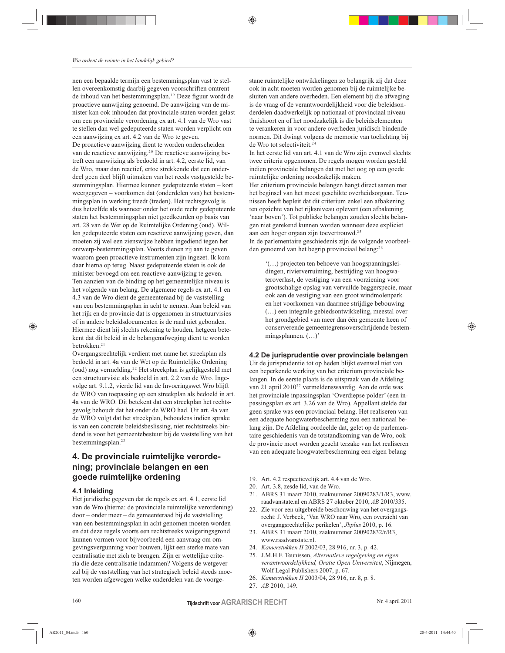nen een bepaalde termijn een bestemmingsplan vast te stellen overeenkomstig daarbij gegeven voorschriften omtrent de inhoud van het bestemmingsplan.<sup>19</sup> Deze figuur wordt de proactieve aanwijzing genoemd. De aanwijzing van de minister kan ook inhouden dat provinciale staten worden gelast om een provinciale verordening ex art. 4.1 van de Wro vast te stellen dan wel gedeputeerde staten worden verplicht om een aanwijzing ex art. 4.2 van de Wro te geven. De proactieve aanwijzing dient te worden onderscheiden van de reactieve aanwijzing.<sup>20</sup> De reactieve aanwijzing betreft een aanwijzing als bedoeld in art. 4.2, eerste lid, van de Wro, maar dan reactief, ertoe strekkende dat een onderdeel geen deel blijft uitmaken van het reeds vastgestelde bestemmingsplan. Hiermee kunnen gedeputeerde staten - kort weergegeven - voorkomen dat (onderdelen van) het bestemmingsplan in werking treedt (treden). Het rechtsgevolg is dus hetzelfde als wanneer onder het oude recht gedeputeerde staten het bestemmingsplan niet goedkeurden op basis van art. 28 van de Wet op de Ruimtelijke Ordening (oud). Willen gedeputeerde staten een reactieve aanwijzing geven, dan moeten zij wel een zienswijze hebben ingediend tegen het ontwerp-bestemmingsplan. Voorts dienen zij aan te geven waarom geen proactieve instrumenten zijn ingezet. Ik kom daar hierna op terug. Naast gedeputeerde staten is ook de minister bevoegd om een reactieve aanwijzing te geven. Ten aanzien van de binding op het gemeentelijke niveau is het volgende van belang. De algemene regels ex art. 4.1 en 4.3 van de Wro dient de gemeenteraad bij de vaststelling van een bestemmingsplan in acht te nemen. Aan beleid van het rijk en de provincie dat is opgenomen in structuurvisies of in andere beleidsdocumenten is de raad niet gebonden. Hiermee dient hij slechts rekening te houden, hetgeen betekent dat dit beleid in de belangenafweging dient te worden betrokken.<sup>21</sup>

Overgangsrechtelijk verdient met name het streekplan als bedoeld in art. 4a van de Wet op de Ruimtelijke Ordening (oud) nog vermelding.<sup>22</sup> Het streekplan is gelijkgesteld met een structuurvisie als bedoeld in art. 2.2 van de Wro. Ingevolge art. 9.1.2, vierde lid van de Invoeringswet Wro blijft de WRO van toepassing op een streekplan als bedoeld in art. 4a van de WRO. Dit betekent dat een streekplan het rechtsgevolg behoudt dat het onder de WRO had. Uit art. 4a van de WRO volgt dat het streekplan, behoudens indien sprake is van een concrete beleidsbeslissing, niet rechtstreeks bindend is voor het gemeentebestuur bij de vaststelling van het bestemmingsplan.<sup>23</sup>

# 4. De provinciale ruimtelijke verordening; provinciale belangen en een goede ruimtelijke ordening

# 4.1 Inleiding

◈

Het juridische gegeven dat de regels ex art. 4.1, eerste lid van de Wro (hierna: de provinciale ruimtelijke verordening) door - onder meer - de gemeenteraad bij de vaststelling van een bestemmingsplan in acht genomen moeten worden en dat deze regels voorts een rechtstreeks weigeringsgrond kunnen vormen voor bijvoorbeeld een aanvraag om omgevingsvergunning voor bouwen, lijkt een sterke mate van centralisatie met zich te brengen. Zijn er wettelijke criteria die deze centralisatie indammen? Volgens de wetgever zal bij de vaststelling van het strategisch beleid steeds moeten worden afgewogen welke onderdelen van de voorgestane ruimtelijke ontwikkelingen zo belangrijk zij dat deze ook in acht moeten worden genomen bij de ruimtelijke besluiten van andere overheden. Een element bij die afweging is de vraag of de verantwoordelijkheid voor die beleidsonderdelen daadwerkelijk op nationaal of provinciaal niveau thuishoort en of het noodzakelijk is die beleidselementen te verankeren in voor andere overheden juridisch bindende normen. Dit dwingt volgens de memorie van toelichting bij de Wro tot selectiviteit.<sup>24</sup>

♠

In het eerste lid van art. 4.1 van de Wro zijn evenwel slechts twee criteria opgenomen. De regels mogen worden gesteld indien provinciale belangen dat met het oog op een goede ruimtelijke ordening noodzakelijk maken.

Het criterium provinciale belangen hangt direct samen met het beginsel van het meest geschikte overheidsorgaan. Teunissen heeft bepleit dat dit criterium enkel een afbakening ten opzichte van het rijksniveau oplevert (een afbakening 'naar boven'). Tot publieke belangen zouden slechts belangen niet gerekend kunnen worden wanneer deze expliciet aan een hoger orgaan zijn toevertrouwd.<sup>25</sup>

In de parlementaire geschiedenis zijn de volgende voorbeelden genoemd van het begrip provinciaal belang:<sup>26</sup>

(...) projecten ten behoeve van hoogspanningsleidingen, rivierverruiming, bestrijding van hoogwateroverlast, de vestiging van een voorziening voor grootschalige opslag van vervuilde baggerspecie, maar ook aan de vestiging van een groot windmolenpark en het voorkomen van daarmee strijdige bebouwing (...) een integrale gebiedsontwikkeling, meestal over het grondgebied van meer dan één gemeente heen of conserverende gemeentegrensoverschrijdende bestemmingsplannen. (...)'

4.2 De jurisprudentie over provinciale belangen Uit de jurisprudentie tot op heden blijkt evenwel niet van een beperkende werking van het criterium provinciale belangen. In de eerste plaats is de uitspraak van de Afdeling van 21 april 2010<sup>27</sup> vermeldenswaardig. Aan de orde was het provinciale inpassingsplan 'Overdiepse polder' (een inpassingsplan ex art. 3.26 van de Wro). Appellant stelde dat geen sprake was een provinciaal belang. Het realiseren van een adequate hoogwaterbescherming zou een nationaal belang zijn. De Afdeling oordeelde dat, gelet op de parlementaire geschiedenis van de totstandkoming van de Wro, ook de provincie moet worden geacht terzake van het realiseren van een adequate hoogwaterbescherming een eigen belang

- 19. Art. 4.2 respectievelijk art. 4.4 van de Wro.
- 20. Art. 3.8, zesde lid, van de Wro.
- 21. ABRS 31 maart 2010, zaaknummer 20090283/1/R3, www. raadvanstate.nl en ABRS 27 oktober 2010, AB 2010/335.
- 22. Zie voor een uitgebreide beschouwing van het overgangsrecht: J. Verbeek, 'Van WRO naar Wro, een overzicht van overgangsrechtelijke perikelen', Jbplus 2010, p. 16.
- 23. ABRS 31 maart 2010, zaaknummer 200902832/r/R3, www.raadvanstate.nl.
- 24. Kamerstukken II 2002/03, 28 916, nr. 3, p. 42.
- 25. J.M.H.F. Teunissen, Alternatieve regelgeving en eigen verantwoordelijkheid, Oratie Open Universiteit, Nijmegen, Wolf Legal Publishers 2007, p. 67.
- 26. Kamerstukken II 2003/04, 28 916, nr. 8, p. 8.
- 27. AB 2010, 149.

Nr. 4 april 2011

♠

**Tijdschrift voor AGRARISCH RECHT**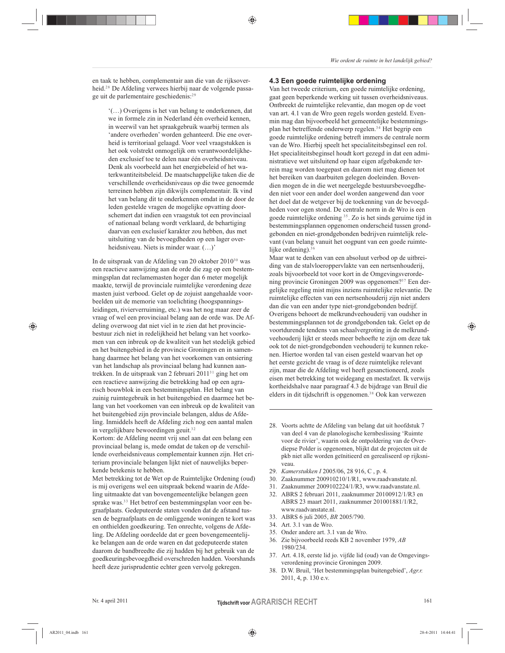en taak te hebben, complementair aan die van de rijksoverheid.<sup>28</sup> De Afdeling verwees hierbij naar de volgende passage uit de parlementaire geschiedenis:<sup>29</sup>

'(...) Overigens is het van belang te onderkennen, dat we in formele zin in Nederland één overheid kennen, in weerwil van het spraakgebruik waarbij termen als 'andere overheden' worden gehanteerd. Die ene overheid is territoriaal gelaagd. Voor veel vraagstukken is het ook volstrekt onmogelijk om verantwoordelijkheden exclusief toe te delen naar één overheidsniveau. Denk als voorbeeld aan het energiebeleid of het waterkwantiteitsbeleid. De maatschappelijke taken die de verschillende overheidsniveaus op die twee genoemde terreinen hebben zijn dikwijls complementair. Ik vind het van belang dit te onderkennen omdat in de door de leden gestelde vragen de mogelijke opvatting doorschemert dat indien een vraagstuk tot een provinciaal of nationaal belang wordt verklaard, de behartiging daarvan een exclusief karakter zou hebben, dus met uitsluiting van de bevoegdheden op een lager overheidsniveau. Niets is minder waar. (...)'

In de uitspraak van de Afdeling van 20 oktober 2010<sup>30</sup> was een reactieve aanwijzing aan de orde die zag op een bestemmingsplan dat reclamemasten hoger dan 6 meter mogelijk maakte, terwijl de provinciale ruimtelijke verordening deze masten juist verbood. Gelet op de zojuist aangehaalde voorbeelden uit de memorie van toelichting (hoogspanningsleidingen, rivierverruiming, etc.) was het nog maar zeer de vraag of wel een provinciaal belang aan de orde was. De Afdeling overwoog dat niet viel in te zien dat het provinciebestuur zich niet in redelijkheid het belang van het voorkomen van een inbreuk op de kwaliteit van het stedelijk gebied en het buitengebied in de provincie Groningen en in samenhang daarmee het belang van het voorkomen van ontsiering van het landschap als provinciaal belang had kunnen aantrekken. In de uitspraak van 2 februari 2011<sup>31</sup> ging het om een reactieve aanwijzing die betrekking had op een agrarisch bouwblok in een bestemmingsplan. Het belang van zuinig ruimtegebruik in het buitengebied en daarmee het belang van het voorkomen van een inbreuk op de kwaliteit van het buitengebied zijn provinciale belangen, aldus de Afdeling. Inmiddels heeft de Afdeling zich nog een aantal malen in vergelijkbare bewoordingen geuit.<sup>32</sup>

Kortom: de Afdeling neemt vrij snel aan dat een belang een provinciaal belang is, mede omdat de taken op de verschillende overheidsniveaus complementair kunnen zijn. Het criterium provinciale belangen lijkt niet of nauwelijks beperkende betekenis te hebben.

Met betrekking tot de Wet op de Ruimtelijke Ordening (oud) is mij overigens wel een uitspraak bekend waarin de Afdeling uitmaakte dat van bovengemeentelijke belangen geen sprake was.<sup>33</sup> Het betrof een bestemmingsplan voor een begraafplaats. Gedeputeerde staten vonden dat de afstand tussen de begraafplaats en de omliggende woningen te kort was en onthielden goedkeuring. Ten onrechte, volgens de Afdeling. De Afdeling oordeelde dat er geen bovengemeentelijke belangen aan de orde waren en dat gedeputeerde staten daarom de bandbreedte die zij hadden bij het gebruik van de goedkeuringsbevoegdheid overschreden hadden. Voorshands heeft deze jurisprudentie echter geen vervolg gekregen.

#### 4.3 Een goede ruimtelijke ordening

♠

Van het tweede criterium, een goede ruimtelijke ordening, gaat geen beperkende werking uit tussen overheidsniveaus. Ontbreekt de ruimtelijke relevantie, dan mogen op de voet van art. 4.1 van de Wro geen regels worden gesteld. Evenmin mag dan bijvoorbeeld het gemeentelijke bestemmingsplan het betreffende onderwerp regelen.<sup>34</sup> Het begrip een goede ruimtelijke ordening betreft immers de centrale norm van de Wro. Hierbij speelt het specialiteitsbeginsel een rol. Het specialiteitsbeginsel houdt kort gezegd in dat een administratieve wet uitsluitend op haar eigen afgebakende terrein mag worden toegepast en daarom niet mag dienen tot het bereiken van daarbuiten gelegen doeleinden. Bovendien mogen de in die wet neergelegde bestuursbevoegdheden niet voor een ander doel worden aangewend dan voor het doel dat de wetgever bij de toekenning van de bevoegdheden voor ogen stond. De centrale norm in de Wro is een goede ruimtelijke ordening<sup>35</sup>. Zo is het sinds geruime tijd in bestemmingsplannen opgenomen onderscheid tussen grondgebonden en niet-grondgebonden bedrijven ruimtelijk relevant (van belang vanuit het oogpunt van een goede ruimtelijke ordening).<sup>3</sup>

Maar wat te denken van een absoluut verbod op de uitbreiding van de stalvloeroppervlakte van een nertsenhouderij, zoals bijvoorbeeld tot voor kort in de Omgevingsverordening provincie Groningen 2009 was opgenomen?<sup>37</sup> Een dergelijke regeling mist mijns inziens ruimtelijke relevantie. De ruimtelijke effecten van een nertsenhouderij zijn niet anders dan die van een ander type niet-grondgebonden bedrijf. Overigens behoort de melkrundveehouderij van oudsher in bestemmingsplannen tot de grondgebonden tak. Gelet op de voortdurende tendens van schaalvergroting in de melkrundveehouderij lijkt er steeds meer behoefte te zijn om deze tak ook tot de niet-grondgebonden veehouderij te kunnen rekenen. Hiertoe worden tal van eisen gesteld waarvan het op het eerste gezicht de vraag is of deze ruimtelijke relevant zijn, maar die de Afdeling wel heeft gesanctioneerd, zoals eisen met betrekking tot weidegang en mestafzet. Ik verwijs kortheidshalve naar paragraaf 4.3 de bijdrage van Bruil die elders in dit tijdschrift is opgenomen.<sup>38</sup> Ook kan verwezen

- 28. Voorts achtte de Afdeling van belang dat uit hoofdstuk 7 van deel 4 van de planologische kernbeslissing 'Ruimte voor de rivier', waarin ook de ontpoldering van de Overdiepse Polder is opgenomen, blijkt dat de projecten uit de pkb niet alle worden geïnitieerd en gerealiseerd op rijksniveau.
- 29. Kamerstukken I 2005/06, 28 916, C, p. 4.
- 30. Zaaknummer 200910210/1/R1, www.raadvanstate.nl.
- 31. Zaaknummer 2009102224/1/R3, www.raadvanstate.nl.
- 32. ABRS 2 februari 2011, zaaknummer 20100912/1/R3 en ABRS 23 maart 2011, zaaknummer 201001881/1/R2, www.raadvanstate.nl.
- 33. ABRS 6 juli 2005, BR 2005/790.
- 34. Art. 3.1 van de Wro.
- 35. Onder andere art. 3.1 van de Wro.
- 36. Zie bijvoorbeeld reeds KB 2 november 1979, AB 1980/234.
- 37. Art. 4.18, eerste lid jo. vijfde lid (oud) van de Omgevingsverordening provincie Groningen 2009.
- 38. D.W. Bruil, 'Het bestemmingsplan buitengebied', Agr.r. 2011, 4, p. 130 e.v.

⊕

♠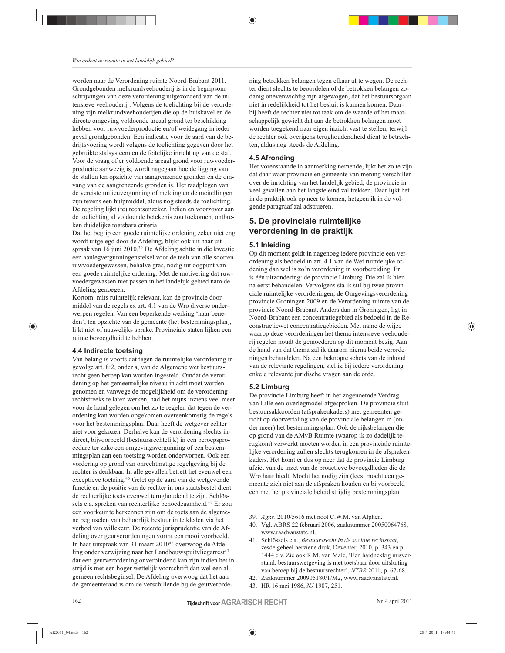worden naar de Verordening ruimte Noord-Brabant 2011. Grondgebonden melkrundveehouderij is in de begripsomschrijvingen van deze verordening uitgezonderd van de intensieve veehouderij. Volgens de toelichting bij de verordening zijn melkrundveehouderijen die op de huiskavel en de directe omgeving voldoende areaal grond ter beschikking hebben voor ruwvoederproductie en/of weidegang in ieder geval grondgebonden. Een indicatie voor de aard van de bedrijfsvoering wordt volgens de toelichting gegeven door het gebruikte stalsysteem en de feitelijke inrichting van de stal. Voor de vraag of er voldoende areaal grond voor ruwvoederproductie aanwezig is, wordt nagegaan hoe de ligging van de stallen ten opzichte van aangrenzende gronden en de omvang van de aangrenzende gronden is. Het raadplegen van de vereiste milieuvergunning of melding en de meitellingen zijn tevens een hulpmiddel, aldus nog steeds de toelichting. De regeling lijkt (te) rechtsonzeker. Indien en voorzover aan de toelichting al voldoende betekenis zou toekomen, ontbreken duidelijke toetsbare criteria.

Dat het begrip een goede ruimtelijke ordening zeker niet eng wordt uitgelegd door de Afdeling, blijkt ook uit haar uitspraak van 16 juni 2010.<sup>39</sup> De Afdeling achtte in die kwestie een aanlegvergunningenstelsel voor de teelt van alle soorten ruwvoedergewassen, behalve gras, nodig uit oogpunt van een goede ruimtelijke ordening. Met de motivering dat ruwvoedergewassen niet passen in het landelijk gebied nam de Afdeling genoegen.

Kortom: mits ruimtelijk relevant, kan de provincie door middel van de regels ex art. 4.1 van de Wro diverse onderwerpen regelen. Van een beperkende werking 'naar beneden', ten opzichte van de gemeente (het bestemmingsplan), lijkt niet of nauwelijks sprake. Provinciale staten lijken een ruime bevoegdheid te hebben.

#### 4.4 Indirecte toetsing

◈

Van belang is voorts dat tegen de ruimtelijke verordening ingevolge art. 8:2, onder a, van de Algemene wet bestuursrecht geen beroep kan worden ingesteld. Omdat de verordening op het gemeentelijke niveau in acht moet worden genomen en vanwege de mogelijkheid om de verordening rechtstreeks te laten werken, had het mijns inziens veel meer voor de hand gelegen om het zo te regelen dat tegen de verordening kan worden opgekomen overeenkomstig de regels voor het bestemmingsplan. Daar heeft de wetgever echter niet voor gekozen. Derhalve kan de verordening slechts indirect, bijvoorbeeld (bestuursrechtelijk) in een beroepsprocedure ter zake een omgevingsvergunning of een bestemmingsplan aan een toetsing worden onderworpen. Ook een vordering op grond van onrechtmatige regelgeving bij de rechter is denkbaar. In alle gevallen betreft het evenwel een exceptieve toetsing.<sup>40</sup> Gelet op de aard van de wetgevende functie en de positie van de rechter in ons staatsbestel dient de rechterlijke toets evenwel terughoudend te zijn. Schlössels e.a. spreken van rechterlijke behoedzaamheid.<sup>41</sup> Er zou een voorkeur te herkennen zijn om de toets aan de algemene beginselen van behoorlijk bestuur in te kleden via het verbod van willekeur. De recente jurisprudentie van de Afdeling over geurverordeningen vormt een mooi voorbeeld. In haar uitspraak van 31 maart 2010<sup>42</sup> overwoog de Afdeling onder verwijzing naar het Landbouwspuitvliegarrest<sup>43</sup> dat een geurverordening onverbindend kan zijn indien het in strijd is met een hoger wettelijk voorschrift dan wel een algemeen rechtsbeginsel. De Afdeling overwoog dat het aan de gemeenteraad is om de verschillende bij de geurverordening betrokken belangen tegen elkaar af te wegen. De rechter dient slechts te beoordelen of de betrokken belangen zodanig onevenwichtig zijn afgewogen, dat het bestuursorgaan niet in redelijkheid tot het besluit is kunnen komen. Daarbij heeft de rechter niet tot taak om de waarde of het maatschappelijk gewicht dat aan de betrokken belangen moet worden toegekend naar eigen inzicht vast te stellen, terwijl de rechter ook overigens terughoudendheid dient te betrachten, aldus nog steeds de Afdeling.

#### 4.5 Afronding

♠

Het vorenstaande in aanmerking nemende, lijkt het zo te zijn dat daar waar provincie en gemeente van mening verschillen over de inrichting van het landelijk gebied, de provincie in veel gevallen aan het langste eind zal trekken. Daar lijkt het in de praktijk ook op neer te komen, hetgeen ik in de volgende paragraaf zal adstrueren.

# 5. De provinciale ruimtelijke verordening in de praktijk

# 5.1 Inleiding

Op dit moment geldt in nagenoeg iedere provincie een verordening als bedoeld in art. 4.1 van de Wet ruimtelijke ordening dan wel is zo'n verordening in voorbereiding. Er is één uitzondering: de provincie Limburg. Die zal ik hierna eerst behandelen. Vervolgens sta ik stil bij twee provinciale ruimtelijke verordeningen, de Omgevingsverordening provincie Groningen 2009 en de Verordening ruimte van de provincie Noord-Brabant. Anders dan in Groningen, ligt in Noord-Brabant een concentratiegebied als bedoeld in de Reconstructiewet concentratiegebieden. Met name de wijze waarop deze verordeningen het thema intensieve veehouderij regelen houdt de gemoederen op dit moment bezig. Aan de hand van dat thema zal ik daarom hierna beide verordeningen behandelen. Na een beknopte schets van de inhoud van de relevante regelingen, stel ik bij iedere verordening enkele relevante juridische vragen aan de orde.

#### 5.2 Limburg

De provincie Limburg heeft in het zogenoemde Verdrag van Lille een overlegmodel afgesproken. De provincie sluit bestuursakkoorden (afsprakenkaders) met gemeenten gericht op doorvertaling van de provinciale belangen in (onder meer) het bestemmingsplan. Ook de rijksbelangen die op grond van de AMvB Ruimte (waarop ik zo dadelijk terugkom) verwerkt moeten worden in een provinciale ruimtelijke verordening zullen slechts terugkomen in de afsprakenkaders. Het komt er dus op neer dat de provincie Limburg afziet van de inzet van de proactieve bevoegdheden die de Wro haar biedt. Mocht het nodig zijn (lees: mocht een gemeente zich niet aan de afspraken houden en bijvoorbeeld een met het provinciale beleid strijdig bestemmingsplan

- 39. Agr.r. 2010/5616 met noot C.W.M. van Alphen.
- 40. Vgl. ABRS 22 februari 2006, zaaknummer 20050064768, www.raadvanstate.nl.
- 41. Schlössels e.a., Bestuursrecht in de sociale rechtstaat, zesde geheel herziene druk, Deventer, 2010, p. 343 en p. 1444 e.v. Zie ook R.M. van Male, 'Een hardnekkig misverstand: bestuurswetgeving is niet toetsbaar door uitsluiting van beroep bij de bestuursrechter', NTBR 2011, p. 67-68.
- 42. Zaaknummer 200905180/1/M2, www.raadvanstate.nl.
- 43. HR 16 mei 1986, NJ 1987, 251.

Nr. 4 april 2011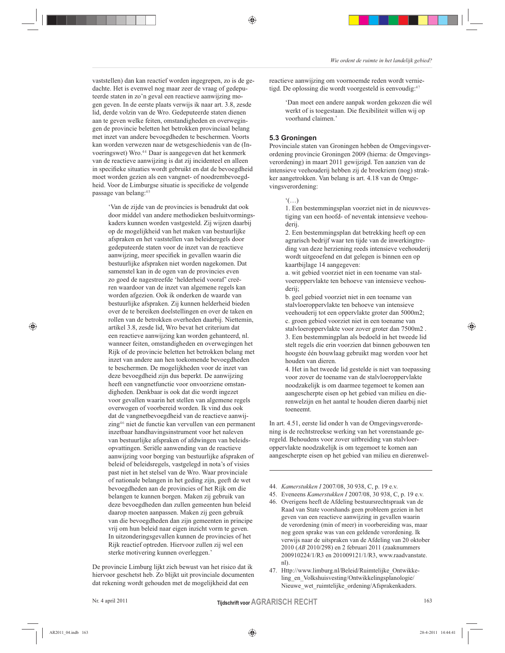vaststellen) dan kan reactief worden ingegrepen, zo is de gedachte. Het is evenwel nog maar zeer de vraag of gedeputeerde staten in zo'n geval een reactieve aanwijzing mogen geven. In de eerste plaats verwijs ik naar art. 3.8, zesde lid, derde volzin van de Wro. Gedeputeerde staten dienen aan te geven welke feiten, omstandigheden en overwegingen de provincie beletten het betrokken provinciaal belang met inzet van andere bevoegdheden te beschermen. Voorts kan worden verwezen naar de wetsgeschiedenis van de (Invoeringswet) Wro.<sup>44</sup> Daar is aangegeven dat het kenmerk van de reactieve aanwijzing is dat zij incidenteel en alleen in specifieke situaties wordt gebruikt en dat de bevoegdheid moet worden gezien als een vangnet- of noodrembevoegdheid. Voor de Limburgse situatie is specifieke de volgende passage van belang:45

'Van de zijde van de provincies is benadrukt dat ook door middel van andere methodieken besluitvormingskaders kunnen worden vastgesteld. Zij wijzen daarbij op de mogelijkheid van het maken van bestuurlijke afspraken en het vaststellen van beleidsregels door gedeputeerde staten voor de inzet van de reactieve aanwijzing, meer specifiek in gevallen waarin die bestuurlijke afspraken niet worden nagekomen. Dat samenstel kan in de ogen van de provincies even zo goed de nagestreefde 'helderheid vooraf' creëren waardoor van de inzet van algemene regels kan worden afgezien. Ook ik onderken de waarde van bestuurlijke afspraken. Zij kunnen helderheid bieden over de te bereiken doelstellingen en over de taken en rollen van de betrokken overheden daarbij. Niettemin, artikel 3.8, zesde lid, Wro bevat het criterium dat een reactieve aanwijzing kan worden gehanteerd, nl. wanneer feiten, omstandigheden en overwegingen het Rijk of de provincie beletten het betrokken belang met inzet van andere aan hen toekomende bevoegdheden te beschermen. De mogelijkheden voor de inzet van deze bevoegdheid zijn dus beperkt. De aanwijzing heeft een vangnetfunctie voor onvoorziene omstandigheden. Denkbaar is ook dat die wordt ingezet voor gevallen waarin het stellen van algemene regels overwogen of voorbereid worden. Ik vind dus ook dat de vangnetbevoegdheid van de reactieve aanwijzing<sup>46</sup> niet de functie kan vervullen van een permanent inzetbaar handhavingsinstrument voor het naleven van bestuurlijke afspraken of afdwingen van beleidsopvattingen. Seriële aanwending van de reactieve aanwijzing voor borging van bestuurlijke afspraken of beleid of beleidsregels, vastgelegd in nota's of visies past niet in het stelsel van de Wro. Waar provinciale of nationale belangen in het geding zijn, geeft de wet bevoegdheden aan de provincies of het Rijk om die belangen te kunnen borgen. Maken zij gebruik van deze bevoegdheden dan zullen gemeenten hun beleid daarop moeten aanpassen. Maken zij geen gebruik van die bevoegdheden dan zijn gemeenten in principe vrij om hun beleid naar eigen inzicht vorm te geven. In uitzonderingsgevallen kunnen de provincies of het Rijk reactief optreden. Hiervoor zullen zij wel een sterke motivering kunnen overleggen.'

De provincie Limburg lijkt zich bewust van het risico dat ik hiervoor geschetst heb. Zo blijkt uit provinciale documenten dat rekening wordt gehouden met de mogelijkheid dat een

Nr. 4 april 2011

reactieve aanwijzing om voornoemde reden wordt vernietigd. De oplossing die wordt voorgesteld is eenvoudig.<sup>47</sup>

'Dan moet een andere aanpak worden gekozen die wél werkt of is toegestaan. Die flexibiliteit willen wij op voorhand claimen.'

#### 5.3 Groningen

♠

Provinciale staten van Groningen hebben de Omgevingsverordening provincie Groningen 2009 (hierna: de Omgevingsverordening) in maart 2011 gewijzigd. Ten aanzien van de intensieve veehouderij hebben zij de broekriem (nog) strakker aangetrokken. Van belang is art. 4.18 van de Omgevingsverordening:

 $\cdot$ (...)

1. Een bestemmingsplan voorziet niet in de nieuwvestiging van een hoofd- of neventak intensieve veehouderij.

2. Een bestemmingsplan dat betrekking heeft op een agrarisch bedrijf waar ten tijde van de inwerkingtreding van deze herziening reeds intensieve veehouderij wordt uitgeoefend en dat gelegen is binnen een op kaartbijlage 14 aangegeven:

a. wit gebied voorziet niet in een toename van stalvoeroppervlakte ten behoeve van intensieve veehouderii:

b. geel gebied voorziet niet in een toename van stalvloeroppervlakte ten behoeve van intensieve veehouderij tot een oppervlakte groter dan 5000m2; c. groen gebied voorziet niet in een toename van stalvloeroppervlakte voor zover groter dan 7500m2. 3. Een bestemmingplan als bedoeld in het tweede lid stelt regels die erin voorzien dat binnen gebouwen ten hoogste één bouwlaag gebruikt mag worden voor het houden van dieren.

4. Het in het tweede lid gestelde is niet van toepassing voor zover de toename van de stalvloeroppervlakte noodzakelijk is om daarmee tegemoet te komen aan aangescherpte eisen op het gebied van milieu en dierenwelzijn en het aantal te houden dieren daarbij niet toeneemt.

In art. 4.51, eerste lid onder h van de Omgevingsverordening is de rechtstreekse werking van het vorenstaande geregeld. Behoudens voor zover uitbreiding van stalvloeroppervlakte noodzakelijk is om tegemoet te komen aan aangescherpte eisen op het gebied van milieu en dierenwel-

- 44. Kamerstukken I 2007/08, 30 938, C, p. 19 e.v.
- 45. Eveneens Kamerstukken I 2007/08, 30 938, C, p. 19 e.v. 46. Overigens heeft de Afdeling bestuursrechtspraak van de Raad van State voorshands geen probleem gezien in het geven van een reactieve aanwijzing in gevallen waarin de verordening (min of meer) in voorbereiding was, maar nog geen sprake was van een geldende verordening. Ik verwijs naar de uitspraken van de Afdeling van 20 oktober 2010 (AB 2010/298) en 2 februari 2011 (zaaknummers 200910224/1/R3 en 201009121/1/R3, www.raadvanstate.  $nl)$
- 47. Http://www.limburg.nl/Beleid/Ruimtelijke\_Ontwikkeling en Volkshuisvesting/Ontwikkelingsplanologie/ Nieuwe\_wet\_ruimtelijke\_ordening/Afsprakenkaders.

⊕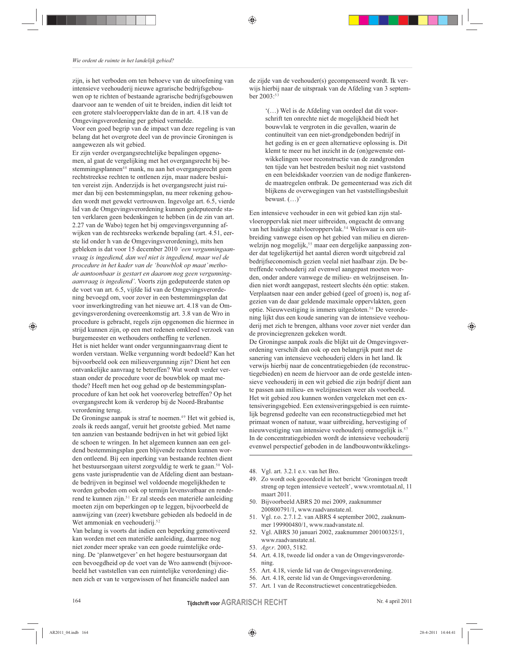zijn, is het verboden om ten behoeve van de uitoefening van intensieve veehouderij nieuwe agrarische bedrijfsgebouwen op te richten of bestaande agrarische bedrijfsgebouwen daarvoor aan te wenden of uit te breiden, indien dit leidt tot een grotere stalvloeroppervlakte dan de in art. 4.18 van de Omgevingsverordening per gebied vermelde.

Voor een goed begrip van de impact van deze regeling is van belang dat het overgrote deel van de provincie Groningen is aangewezen als wit gebied.

Er zijn verder overgangsrechtelijke bepalingen opgenomen, al gaat de vergelijking met het overgangsrecht bij bestemmingsplannen<sup>48</sup> mank, nu aan het overgangsrecht geen rechtstreekse rechten te ontlenen zijn, maar nadere besluiten vereist zijn. Anderzijds is het overgangsrecht juist ruimer dan bij een bestemmingsplan, nu meer rekening gehouden wordt met gewekt vertrouwen. Ingevolge art. 6.5, vierde lid van de Omgevingsverordening kunnen gedeputeerde staten verklaren geen bedenkingen te hebben (in de zin van art. 2.27 van de Wabo) tegen het bij omgevingsvergunning afwijken van de rechtsreeks werkende bepaling (art. 4.51, eerste lid onder h van de Omgevingsverordening), mits hen gebleken is dat voor 15 december 2010 'een vergunningaanvraag is ingediend, dan wel niet is ingediend, maar wel de procedure in het kader van de 'bouwblok op maat' methode aantoonbaar is gestart en daarom nog geen vergunningaanvraag is ingediend'. Voorts zijn gedeputeerde staten op de voet van art. 6.5, vijfde lid van de Omgevingsverordening bevoegd om, voor zover in een bestemmingsplan dat voor inwerkingtreding van het nieuwe art. 4.18 van de Omgevingsverordening overeenkomstig art. 3.8 van de Wro in procedure is gebracht, regels zijn opgenomen die hiermee in strijd kunnen zijn, op een met redenen omkleed verzoek van burgemeester en wethouders ontheffing te verlenen. Het is niet helder want onder vergunningaanvraag dient te worden verstaan. Welke vergunning wordt bedoeld? Kan het bijvoorbeeld ook een milieuvergunning zijn? Dient het een ontvankelijke aanvraag te betreffen? Wat wordt verder verstaan onder de procedure voor de bouwblok op maat methode? Heeft men het oog gehad op de bestemmingsplanprocedure of kan het ook het vooroverleg betreffen? Op het overgangsrecht kom ik verderop bij de Noord-Brabantse verordening terug.

De Groningse aanpak is straf te noemen.<sup>49</sup> Het wit gebied is, zoals ik reeds aangaf, veruit het grootste gebied. Met name ten aanzien van bestaande bedrijven in het wit gebied lijkt de schoen te wringen. In het algemeen kunnen aan een geldend bestemmingsplan geen blijvende rechten kunnen worden ontleend. Bij een inperking van bestaande rechten dient het bestuursorgaan uiterst zorgvuldig te werk te gaan.<sup>50</sup> Volgens vaste jurisprudentie van de Afdeling dient aan bestaande bedrijven in beginsel wel voldoende mogelijkheden te worden geboden om ook op termijn levensvatbaar en renderend te kunnen zijn.<sup>51</sup> Er zal steeds een materiële aanleiding moeten zijn om beperkingen op te leggen, bijvoorbeeld de aanwijzing van (zeer) kwetsbare gebieden als bedoeld in de Wet ammoniak en veehouderij.<sup>52</sup>

Van belang is voorts dat indien een beperking gemotiveerd kan worden met een materiële aanleiding, daarmee nog niet zonder meer sprake van een goede ruimtelijke ordening. De 'planwetgever' en het hogere bestuursorgaan dat een bevoegdheid op de voet van de Wro aanwendt (bijvoorbeeld het vaststellen van een ruimtelijke verordening) dienen zich er van te vergewissen of het financiële nadeel aan

de zijde van de veehouder(s) gecompenseerd wordt. Ik verwijs hierbij naar de uitspraak van de Afdeling van 3 september  $2003$ :<sup>5</sup>

♠

"(...) Wel is de Afdeling van oordeel dat dit voorschrift ten onrechte niet de mogelijkheid biedt het bouwvlak te vergroten in die gevallen, waarin de continuïteit van een niet-grondgebonden bedrijf in het geding is en er geen alternatieve oplossing is. Dit klemt te meer nu het inzicht in de (on)gewenste ontwikkelingen voor reconstructie van de zandgronden ten tijde van het bestreden besluit nog niet vaststond en een beleidskader voorzien van de nodige flankerende maatregelen ontbrak. De gemeenteraad was zich dit blijkens de overwegingen van het vaststellingsbesluit bewust.  $(...)$ 

Een intensieve veehouder in een wit gebied kan zijn stalvloeroppervlak niet meer uitbreiden, ongeacht de omvang van het huidige stalvloeroppervlak.<sup>54</sup> Weliswaar is een uitbreiding vanwege eisen op het gebied van milieu en dierenwelzijn nog mogelijk,<sup>55</sup> maar een dergelijke aanpassing zonder dat tegelijkertijd het aantal dieren wordt uitgebreid zal bedrijfseconomisch gezien veelal niet haalbaar zijn. De betreffende veehouderij zal evenwel aangepast moeten worden, onder andere vanwege de milieu- en welzijnseisen. Indien niet wordt aangepast, resteert slechts één optie: staken. Verplaatsen naar een ander gebied (geel of groen) is, nog afgezien van de daar geldende maximale oppervlakten, geen optie. Nieuwvestiging is immers uitgesloten.<sup>56</sup> De verordening lijkt dus een koude sanering van de intensieve veehouderij met zich te brengen, althans voor zover niet verder dan de provinciegrenzen gekeken wordt.

De Groningse aanpak zoals die blijkt uit de Omgevingsverordening verschilt dan ook op een belangrijk punt met de sanering van intensieve veehouderij elders in het land. Ik verwijs hierbij naar de concentratiegebieden (de reconstructiegebieden) en neem de hiervoor aan de orde gestelde intensieve veehouderij in een wit gebied die zijn bedrijf dient aan te passen aan milieu- en welzijnseisen weer als voorbeeld. Het wit gebied zou kunnen worden vergeleken met een extensiveringsgebied. Een extensiveringsgebied is een ruimtelijk begrensd gedeelte van een reconstructiegebied met het primaat wonen of natuur, waar uitbreiding, hervestiging of nieuwvestiging van intensieve veehouderij onmogelijk is.<sup>57</sup> In de concentratiegebieden wordt de intensieve veehouderij evenwel perspectief geboden in de landbouwontwikkelings-

- 48. Vgl. art. 3.2.1 e.v. van het Bro.
- 49. Zo wordt ook geoordeeld in het bericht 'Groningen treedt streng op tegen intensieve veeteelt', www.vromtotaal.nl, 11 maart 2011.
- 50. Bijvoorbeeld ABRS 20 mei 2009, zaaknummer 200800791/1, www.raadvanstate.nl.
- 51. Vgl. r.o. 2.7.1.2. van ABRS 4 september 2002, zaaknummer 199900480/1, www.raadvanstate.nl.
- 52. Vgl. ABRS 30 januari 2002, zaaknummer 200100325/1, www.raadvanstate.nl.
- 53. Agr.r. 2003, 5182.
- 54. Art. 4.18, tweede lid onder a van de Omgevingsverordening.
- 55. Art. 4.18, vierde lid van de Omgevingsverordening.
- 56. Art. 4.18, eerste lid van de Omgevingsverordening.
- 57. Art. 1 van de Reconstructiewet concentratiegebieden.

164

#### **Tijdschrift voor AGRARISCH RECHT**

Nr. 4 april 2011

◈

♠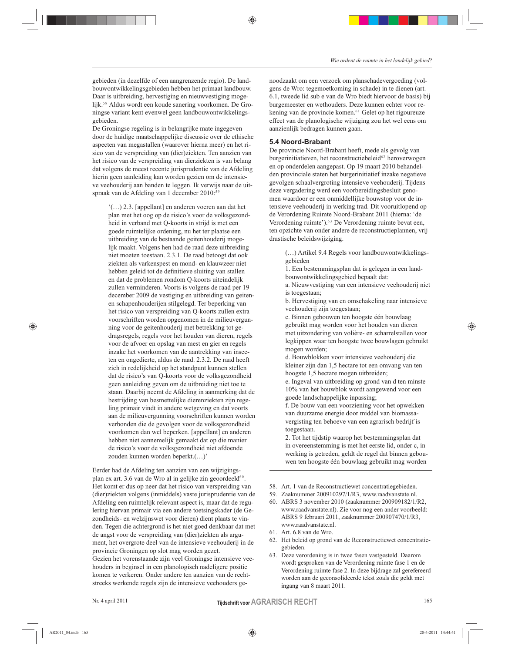gebieden (in dezelfde of een aangrenzende regio). De landbouwontwikkelingsgebieden hebben het primaat landbouw. Daar is uitbreiding, hervestiging en nieuwvestiging mogelijk.<sup>58</sup> Aldus wordt een koude sanering voorkomen. De Groningse variant kent evenwel geen landbouwontwikkelingsgebieden.

De Groningse regeling is in belangrijke mate ingegeven door de huidige maatschappelijke discussie over de ethische aspecten van megastallen (waarover hierna meer) en het risico van de verspreiding van (dier)ziekten. Ten aanzien van het risico van de verspreiding van dierziekten is van belang dat volgens de meest recente jurisprudentie van de Afdeling hierin geen aanleiding kan worden gezien om de intensieve veehouderij aan banden te leggen. Ik verwijs naar de uitspraak van de Afdeling van 1 december 2010:<sup>59</sup>

'(...) 2.3. [appellant] en anderen voeren aan dat het plan met het oog op de risico's voor de volksgezondheid in verband met Q-koorts in strijd is met een goede ruimtelijke ordening, nu het ter plaatse een uitbreiding van de bestaande geitenhouderij mogelijk maakt. Volgens hen had de raad deze uitbreiding niet moeten toestaan. 2.3.1. De raad betoogt dat ook ziekten als varkenspest en mond- en klauwzeer niet hebben geleid tot de definitieve sluiting van stallen en dat de problemen rondom Q-koorts uiteindelijk zullen verminderen. Voorts is volgens de raad per 19 december 2009 de vestiging en uitbreiding van geitenen schapenhouderijen stilgelegd. Ter beperking van het risico van verspreiding van Q-koorts zullen extra voorschriften worden opgenomen in de milieuvergunning voor de geitenhouderij met betrekking tot gedragsregels, regels voor het houden van dieren, regels voor de afvoer en opslag van mest en gier en regels inzake het voorkomen van de aantrekking van insecten en ongedierte, aldus de raad. 2.3.2. De raad heeft zich in redelijkheid op het standpunt kunnen stellen dat de risico's van Q-koorts voor de volksgezondheid geen aanleiding geven om de uitbreiding niet toe te staan. Daarbij neemt de Afdeling in aanmerking dat de bestrijding van besmettelijke dierenziekten zijn regeling primair vindt in andere wetgeving en dat voorts aan de milieuvergunning voorschriften kunnen worden verbonden die de gevolgen voor de volksgezondheid voorkomen dan wel beperken. [appellant] en anderen hebben niet aannemelijk gemaakt dat op die manier de risico's voor de volksgezondheid niet afdoende zouden kunnen worden beperkt.(...)'

Eerder had de Afdeling ten aanzien van een wijzigingsplan ex art. 3.6 van de Wro al in gelijke zin geoordeeld<sup>60</sup>. Het komt er dus op neer dat het risico van verspreiding van (dier)ziekten volgens (inmiddels) vaste jurisprudentie van de Afdeling een ruimtelijk relevant aspect is, maar dat de regulering hiervan primair via een andere toetsingskader (de Gezondheids- en welzijnswet voor dieren) dient plaats te vinden. Tegen die achtergrond is het niet goed denkbaar dat met de angst voor de verspreiding van (dier)ziekten als argument, het overgrote deel van de intensieve veehouderij in de provincie Groningen op slot mag worden gezet. Gezien het vorenstaande zijn veel Groningse intensieve veehouders in beginsel in een planologisch nadeligere positie komen te verkeren. Onder andere ten aanzien van de rechtstreeks werkende regels zijn de intensieve veehouders genoodzaakt om een verzoek om planschadevergoeding (volgens de Wro: tegemoetkoming in schade) in te dienen (art. 6.1, tweede lid sub e van de Wro biedt hiervoor de basis) bij burgemeester en wethouders. Deze kunnen echter voor rekening van de provincie komen.<sup>61</sup> Gelet op het rigoureuze effect van de planologische wijziging zou het wel eens om aanzienlijk bedragen kunnen gaan.

#### 5.4 Noord-Brabant

♠

De provincie Noord-Brabant heeft, mede als gevolg van burgerinitiatieven, het reconstructiebeleid<sup>62</sup> heroverwogen en op onderdelen aangepast. Op 19 maart 2010 behandelden provinciale staten het burgerinitiatief inzake negatieve gevolgen schaalvergroting intensieve veehouderij. Tijdens deze vergadering werd een voorbereidingsbesluit genomen waardoor er een onmiddellijke bouwstop voor de intensieve veehouderij in werking trad. Dit vooruitlopend op de Verordening Ruimte Noord-Brabant 2011 (hierna: 'de Verordening ruimte').<sup>63</sup> De Verordening ruimte bevat een, ten opzichte van onder andere de reconstructieplannen, vrij drastische beleidswijziging.

(...) Artikel 9.4 Regels voor landbouwontwikkelingsgebieden

1. Een bestemmingsplan dat is gelegen in een landbouwontwikkelingsgebied bepaalt dat:

a. Nieuwvestiging van een intensieve veehouderij niet is toegestaan:

b. Hervestiging van en omschakeling naar intensieve veehouderij zijn toegestaan;

c. Binnen gebouwen ten hoogste één bouwlaag gebruikt mag worden voor het houden van dieren met uitzondering van volière- en scharrelstallen voor legkippen waar ten hoogste twee bouwlagen gebruikt mogen worden;

d. Bouwblokken voor intensieve veehouderij die kleiner zijn dan 1,5 hectare tot een omvang van ten hoogste 1,5 hectare mogen uitbreiden;

e. Ingeval van uitbreiding op grond van d ten minste 10% van het bouwblok wordt aangewend voor een goede landschappelijke inpassing;

f. De bouw van een voorziening voor het opwekken van duurzame energie door middel van biomassavergisting ten behoeve van een agrarisch bedrijf is toegestaan

2. Tot het tijdstip waarop het bestemmingsplan dat in overeenstemming is met het eerste lid, onder c, in werking is getreden, geldt de regel dat binnen gebouwen ten hoogste één bouwlaag gebruikt mag worden

- 58. Art. 1 van de Reconstructiewet concentratiegebieden.
- 59. Zaaknummer 200910297/1/R3, www.raadvanstate.nl.
- 60. ABRS 3 november 2010 (zaaknummer 200909182/1/R2, www.raadvanstate.nl). Zie voor nog een ander voorbeeld: ABRS 9 februari 2011, zaaknummer 200907470/1/R3, www.raadvanstate.nl.
- 61. Art. 6.8 van de Wro.
- 62. Het beleid op grond van de Reconstructiewet concentratiegebieden.
- 63. Deze verordening is in twee fasen vastgesteld. Daarom wordt gesproken van de Verordening ruimte fase 1 en de Verordening ruimte fase 2. In deze bijdrage zal gerefereerd worden aan de geconsolideerde tekst zoals die geldt met ingang van 8 maart 2011.

◈

♠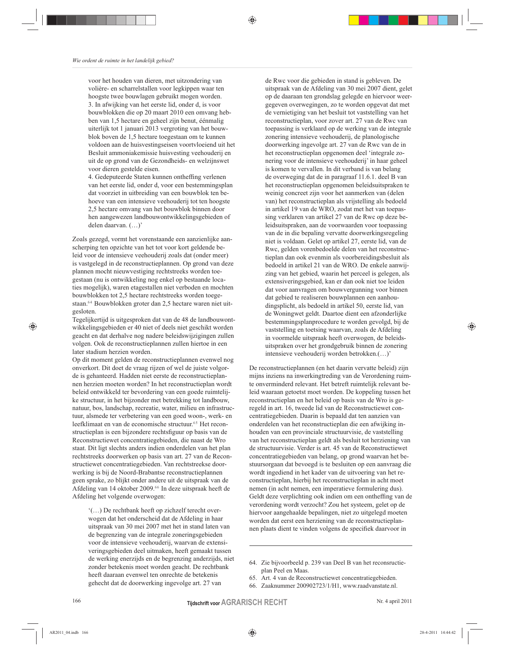voor het houden van dieren, met uitzondering van volière- en scharrelstallen voor legkippen waar ten hoogste twee bouwlagen gebruikt mogen worden. 3. In afwijking van het eerste lid, onder d, is voor bouwblokken die op 20 maart 2010 een omvang hebben van 1,5 hectare en geheel zijn benut, éénmalig uiterlijk tot 1 januari 2013 vergroting van het bouwblok boven de 1,5 hectare toegestaan om te kunnen voldoen aan de huisvestingseisen voortvloeiend uit het Besluit ammoniakemissie huisvesting veehouderij en uit de op grond van de Gezondheids- en welzijnswet voor dieren gestelde eisen.

♠

4. Gedeputeerde Staten kunnen ontheffing verlenen van het eerste lid, onder d, voor een bestemmingsplan dat voorziet in uitbreiding van een bouwblok ten behoeve van een intensieve veehouderij tot ten hoogste 2,5 hectare omvang van het bouwblok binnen door hen aangewezen landbouwontwikkelingsgebieden of delen daarvan. (...)'

Zoals gezegd, vormt het vorenstaande een aanzienlijke aanscherping ten opzichte van het tot voor kort geldende beleid voor de intensieve veehouderij zoals dat (onder meer) is vastgelegd in de reconstructieplannen. Op grond van deze plannen mocht nieuwvestiging rechtstreeks worden toegestaan (nu is ontwikkeling nog enkel op bestaande locaties mogelijk), waren etagestallen niet verboden en mochten bouwblokken tot 2,5 hectare rechtstreeks worden toegestaan.<sup>64</sup> Bouwblokken groter dan 2,5 hectare waren niet uitgesloten.

Tegelijkertijd is uitgesproken dat van de 48 de landbouwontwikkelingsgebieden er 40 niet of deels niet geschikt worden geacht en dat derhalve nog nadere beleidswijzigingen zullen volgen. Ook de reconstructieplannen zullen hiertoe in een later stadium herzien worden.

Op dit moment gelden de reconstructieplannen evenwel nog onverkort. Dit doet de vraag rijzen of wel de juiste volgorde is gehanteerd. Hadden niet eerste de reconstructieplannen herzien moeten worden? In het reconstructieplan wordt beleid ontwikkeld ter bevordering van een goede ruimtelijke structuur, in het bijzonder met betrekking tot landbouw, natuur, bos, landschap, recreatie, water, milieu en infrastructuur, alsmede ter verbetering van een goed woon-, werk- en leefklimaat en van de economische structuur.<sup>65</sup> Het reconstructieplan is een bijzondere rechtsfiguur op basis van de Reconstructiewet concentratiegebieden, die naast de Wro staat. Dit ligt slechts anders indien onderdelen van het plan rechtstreeks doorwerken op basis van art. 27 van de Reconstructiewet concentratiegebieden. Van rechtstreekse doorwerking is bij de Noord-Brabantse reconstructieplannen geen sprake, zo blijkt onder andere uit de uitspraak van de Afdeling van 14 oktober 2009.<sup>66</sup> In deze uitspraak heeft de Afdeling het volgende overwogen:

'(...) De rechtbank heeft op zichzelf terecht overwogen dat het onderscheid dat de Afdeling in haar uitspraak van 30 mei 2007 met het in stand laten van de begrenzing van de integrale zoneringsgebieden voor de intensieve veehouderij, waarvan de extensiveringsgebieden deel uitmaken, heeft gemaakt tussen de werking enerzijds en de begrenzing anderzijds, niet zonder betekenis moet worden geacht. De rechtbank heeft daaraan evenwel ten onrechte de betekenis gehecht dat de doorwerking ingevolge art. 27 van

de Rwc voor die gebieden in stand is gebleven. De uitspraak van de Afdeling van 30 mei 2007 dient, gelet op de daaraan ten grondslag gelegde en hiervoor weergegeven overwegingen, zo te worden opgevat dat met de vernietiging van het besluit tot vaststelling van het reconstructieplan, voor zover art. 27 van de Rwc van toepassing is verklaard op de werking van de integrale zonering intensieve veehouderij, de planologische doorwerking ingevolge art. 27 van de Rwc van de in het reconstructieplan opgenomen deel 'integrale zonering voor de intensieve veehouderij' in haar geheel is komen te vervallen. In dit verband is van belang de overweging dat de in paragraaf 11.6.1. deel B van het reconstructieplan opgenomen beleidsuitspraken te weinig concreet zijn voor het aanmerken van (delen van) het reconstructieplan als vrijstelling als bedoeld in artikel 19 van de WRO, zodat met het van toepassing verklaren van artikel 27 van de Rwc op deze beleidsuitspraken, aan de voorwaarden voor toepassing van de in die bepaling vervatte doorwerkingsregeling niet is voldaan. Gelet op artikel 27, eerste lid, van de Rwc, gelden vorenbedoelde delen van het reconstructieplan dan ook evenmin als voorbereidingsbesluit als bedoeld in artikel 21 van de WRO. De enkele aanwijzing van het gebied, waarin het perceel is gelegen, als extensiveringsgebied, kan er dan ook niet toe leiden dat voor aanvragen om bouwvergunning voor binnen dat gebied te realiseren bouwplannen een aanhoudingsplicht, als bedoeld in artikel 50, eerste lid, van de Woningwet geldt. Daartoe dient een afzonderlijke bestemmingsplanprocedure te worden gevolgd, bij de vaststelling en toetsing waarvan, zoals de Afdeling in voormelde uitspraak heeft overwogen, de beleidsuitspraken over het grondgebruik binnen de zonering intensieve veehouderij worden betrokken.(...)'

De reconstructieplannen (en het daarin vervatte beleid) zijn mijns inziens na inwerkingtreding van de Verordening ruimte onverminderd relevant. Het betreft ruimtelijk relevant beleid waaraan getoetst moet worden. De koppeling tussen het reconstructieplan en het beleid op basis van de Wro is geregeld in art. 16, tweede lid van de Reconstructiewet concentratiegebieden. Daarin is bepaald dat ten aanzien van onderdelen van het reconstructieplan die een afwijking inhouden van een provinciale structuurvisie, de vaststelling van het reconstructieplan geldt als besluit tot herziening van de structuurvisie. Verder is art. 45 van de Reconstructiewet concentratiegebieden van belang, op grond waarvan het bestuursorgaan dat bevoegd is te besluiten op een aanvraag die wordt ingediend in het kader van de uitvoering van het reconstructieplan, hierbij het reconstructieplan in acht moet nemen (in acht nemen, een imperatieve formulering dus). Geldt deze verplichting ook indien om een ontheffing van de verordening wordt verzocht? Zou het systeem, gelet op de hiervoor aangehaalde bepalingen, niet zo uitgelegd moeten worden dat eerst een herziening van de reconstructieplannen plaats dient te vinden volgens de specifiek daarvoor in

- 64. Zie bijvoorbeeld p. 239 van Deel B van het reconsructieplan Peel en Maas.
- 65. Art. 4 van de Reconstructiewet concentratiegebieden.
- 66. Zaaknummer 200902723/1/H1, www.raadvanstate.nl.

**Tijdschrift voor AGRARISCH RECHT** 

Nr. 4 april 2011

◈

♠

♠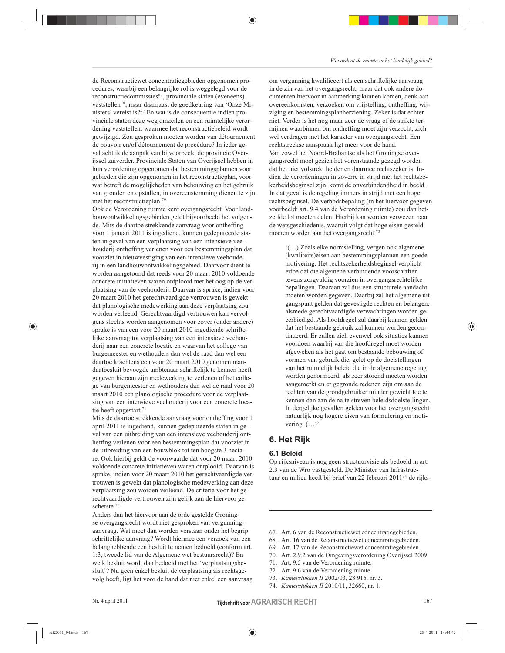♠

Wie ordent de ruimte in het landelijk gebied?

de Reconstructiewet concentratiegebieden opgenomen procedures, waarbij een belangrijke rol is weggelegd voor de reconstructiecommissies<sup>67</sup>, provinciale staten (eveneens) vaststellen<sup>68</sup>, maar daarnaast de goedkeuring van 'Onze Ministers' vereist is?<sup>69</sup> En wat is de consequentie indien provinciale staten deze weg omzeilen en een ruimtelijke verordening vaststellen, waarmee het reconstructiebeleid wordt gewijzigd. Zou gesproken moeten worden van détournement de pouvoir en/of détournement de procédure? In ieder geval acht ik de aanpak van bijvoorbeeld de provincie Overijssel zuiverder. Provinciale Staten van Overijssel hebben in hun verordening opgenomen dat bestemmingsplannen voor gebieden die zijn opgenomen in het reconstructieplan, voor wat betreft de mogelijkheden van bebouwing en het gebruik van gronden en opstallen, in overeenstemming dienen te zijn met het reconstructieplan.<sup>70</sup>

Ook de Verordening ruimte kent overgangsrecht. Voor landbouwontwikkelingsgebieden geldt bijvoorbeeld het volgende. Mits de daartoe strekkende aanvraag voor ontheffing voor 1 januari 2011 is ingediend, kunnen gedeputeerde staten in geval van een verplaatsing van een intensieve veehouderij ontheffing verlenen voor een bestemmingsplan dat voorziet in nieuwvestiging van een intensieve veehouderij in een landbouwontwikkelingsgebied. Daarvoor dient te worden aangetoond dat reeds voor 20 maart 2010 voldoende concrete initiatieven waren ontplooid met het oog op de verplaatsing van de veehouderij. Daarvan is sprake, indien voor 20 maart 2010 het gerechtvaardigde vertrouwen is gewekt dat planologische medewerking aan deze verplaatsing zou worden verleend. Gerechtvaardigd vertrouwen kan vervolgens slechts worden aangenomen voor zover (onder andere) sprake is van een voor 20 maart 2010 ingediende schriftelijke aanvraag tot verplaatsing van een intensieve veehouderij naar een concrete locatie en waarvan het college van burgemeester en wethouders dan wel de raad dan wel een daartoe krachtens een voor 20 maart 2010 genomen mandaatbesluit bevoegde ambtenaar schriftelijk te kennen heeft gegeven hieraan zijn medewerking te verlenen of het college van burgemeester en wethouders dan wel de raad voor 20 maart 2010 een planologische procedure voor de verplaatsing van een intensieve veehouderij voor een concrete locatie heeft opgestart. $71$ 

Mits de daartoe strekkende aanvraag voor ontheffing voor 1 april 2011 is ingediend, kunnen gedeputeerde staten in geval van een uitbreiding van een intensieve veehouderij ontheffing verlenen voor een bestemmingsplan dat voorziet in de uitbreiding van een bouwblok tot ten hoogste 3 hectare. Ook hierbij geldt de voorwaarde dat voor 20 maart 2010 voldoende concrete initiatieven waren ontplooid. Daarvan is sprake, indien voor 20 maart 2010 het gerechtvaardigde vertrouwen is gewekt dat planologische medewerking aan deze verplaatsing zou worden verleend. De criteria voor het gerechtvaardigde vertrouwen zijn gelijk aan de hiervoor geschetste.<sup>72</sup>

Anders dan het hiervoor aan de orde gestelde Groningse overgangsrecht wordt niet gesproken van vergunningaanvraag. Wat moet dan worden verstaan onder het begrip schriftelijke aanvraag? Wordt hiermee een verzoek van een belanghebbende een besluit te nemen bedoeld (conform art. 1:3, tweede lid van de Algemene wet bestuursrecht)? En welk besluit wordt dan bedoeld met het 'verplaatsingsbesluit'? Nu geen enkel besluit de verplaatsing als rechtsgevolg heeft, ligt het voor de hand dat niet enkel een aanvraag

om vergunning kwalificeert als een schriftelijke aanvraag in de zin van het overgangsrecht, maar dat ook andere documenten hiervoor in aanmerking kunnen komen, denk aan overeenkomsten, verzoeken om vrijstelling, ontheffing, wijziging en bestemmingsplanherziening. Zeker is dat echter niet. Verder is het nog maar zeer de vraag of de strikte termijnen waarbinnen om ontheffing moet zijn verzocht, zich wel verdragen met het karakter van overgangsrecht. Een rechtstreekse aanspraak ligt meer voor de hand. Van zowel het Noord-Brabantse als het Groningse overgangsrecht moet gezien het vorenstaande gezegd worden dat het niet volstrekt helder en daarmee rechtszeker is. Indien de verordeningen in zoverre in strijd met het rechtszekerheidsbeginsel zijn, komt de onverbindendheid in beeld. In dat geval is de regeling immers in strijd met een hoger rechtsbeginsel. De verbodsbepaling (in het hiervoor gegeven voorbeeld: art. 9.4 van de Verordening ruimte) zou dan hetzelfde lot moeten delen. Hierbij kan worden verwezen naar de wetsgeschiedenis, waaruit volgt dat hoge eisen gesteld moeten worden aan het overgangsrecht:<sup>73</sup>

'(...) Zoals elke normstelling, vergen ook algemene (kwaliteits) eisen aan bestemmingsplannen een goede motivering. Het rechtszekerheidsbeginsel verplicht ertoe dat die algemene verbindende voorschriften tevens zorgvuldig voorzien in overgangsrechtelijke bepalingen. Daaraan zal dus een structurele aandacht moeten worden gegeven. Daarbij zal het algemene uitgangspunt gelden dat gevestigde rechten en belangen, alsmede gerechtvaardigde verwachtingen worden geeerbiedigd. Als hoofdregel zal daarbij kunnen gelden dat het bestaande gebruik zal kunnen worden gecontinueerd. Er zullen zich evenwel ook situaties kunnen voordoen waarbij van die hoofdregel moet worden afgeweken als het gaat om bestaande bebouwing of vormen van gebruik die, gelet op de doelstellingen van het ruimtelijk beleid die in de algemene regeling worden genormeerd, als zeer storend moeten worden aangemerkt en er gegronde redenen zijn om aan de rechten van de grondgebruiker minder gewicht toe te kennen dan aan de na te streven beleidsdoelstellingen. In dergelijke gevallen gelden voor het overgangsrecht natuurlijk nog hogere eisen van formulering en motivering.  $(\ldots)$ 

# 6. Het Rijk

#### 6.1 Beleid

Op rijksniveau is nog geen structuurvisie als bedoeld in art. 2.3 van de Wro vastgesteld. De Minister van Infrastructuur en milieu heeft bij brief van 22 februari 2011<sup>74</sup> de rijks-

- 67. Art. 6 van de Reconstructiewet concentratiegebieden.
- 68. Art. 16 van de Reconstructiewet concentratiegebieden.
- 69. Art. 17 van de Reconstructiewet concentratiegebieden.
- 70. Art. 2.9.2 van de Omgevingsverordening Overijssel 2009.
- 71. Art. 9.5 van de Verordening ruimte.
- 72. Art. 9.6 van de Verordening ruimte.
- 73. Kamerstukken II 2002/03, 28 916, nr. 3.
- 74. Kamerstukken II 2010/11, 32660, nr. 1.

167

⊕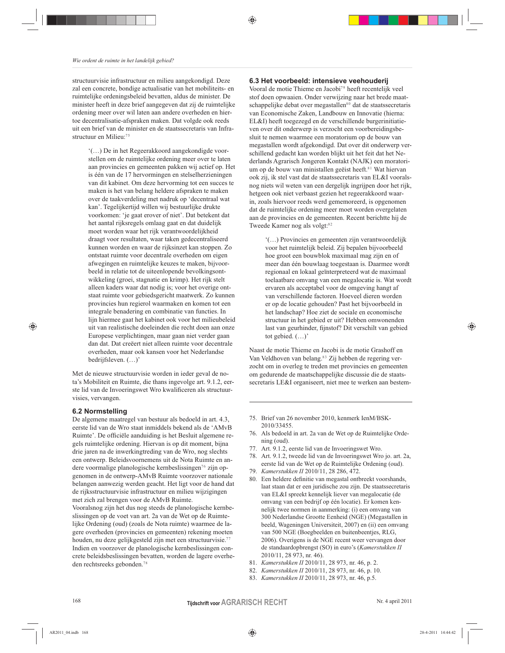structuurvisie infrastructuur en milieu aangekondigd. Deze zal een concrete, bondige actualisatie van het mobiliteits- en ruimtelijke ordeningsbeleid bevatten, aldus de minister. De minister heeft in deze brief aangegeven dat zij de ruimtelijke ordening meer over wil laten aan andere overheden en hiertoe decentralisatie-afspraken maken. Dat volgde ook reeds uit een brief van de minister en de staatssecretaris van Infrastructuur en Milieu: $75$ 

'(...) De in het Regeerakkoord aangekondigde voorstellen om de ruimtelijke ordening meer over te laten aan provincies en gemeenten pakken wij actief op. Het is één van de 17 hervormingen en stelselherzieningen van dit kabinet. Om deze hervorming tot een succes te maken is het van belang heldere afspraken te maken over de taakverdeling met nadruk op 'decentraal wat kan'. Tegelijkertijd willen wij bestuurlijke drukte voorkomen: 'je gaat erover of niet'. Dat betekent dat het aantal rijksregels omlaag gaat en dat duidelijk moet worden waar het rijk verantwoordelijkheid draagt voor resultaten, waar taken gedecentraliseerd kunnen worden en waar de rijksinzet kan stoppen. Zo ontstaat ruimte voor decentrale overheden om eigen afwegingen en ruimtelijke keuzes te maken, bijvoorbeeld in relatie tot de uiteenlopende bevolkingsontwikkeling (groei, stagnatie en krimp). Het rijk stelt alleen kaders waar dat nodig is; voor het overige ontstaat ruimte voor gebiedsgericht maatwerk. Zo kunnen provincies hun regierol waarmaken en komen tot een integrale benadering en combinatie van functies. In lijn hiermee gaat het kabinet ook voor het milieubeleid uit van realistische doeleinden die recht doen aan onze Europese verplichtingen, maar gaan niet verder gaan dan dat. Dat creëert niet alleen ruimte voor decentrale overheden, maar ook kansen voor het Nederlandse bedrijfsleven.  $(\ldots)$ 

Met de nieuwe structuurvisie worden in ieder geval de nota's Mobiliteit en Ruimte, die thans ingevolge art. 9.1.2, eerste lid van de Invoeringswet Wro kwalificeren als structuurvisies, vervangen.

## 6.2 Normstelling

⊕

De algemene maatregel van bestuur als bedoeld in art. 4.3, eerste lid van de Wro staat inmiddels bekend als de 'AMvB Ruimte'. De officiële aanduiding is het Besluit algemene regels ruimtelijke ordening. Hiervan is op dit moment, bijna drie jaren na de inwerkingtreding van de Wro, nog slechts een ontwerp. Beleidsvoornemens uit de Nota Ruimte en andere voormalige planologische kernbeslissingen<sup>76</sup> zijn opgenomen in de ontwerp-AMvB Ruimte voorzover nationale belangen aanwezig werden geacht. Het ligt voor de hand dat de rijksstructuurvisie infrastructuur en milieu wijzigingen met zich zal brengen voor de AMvB Ruimte.

Vooralsnog zijn het dus nog steeds de planologische kernbeslissingen op de voet van art. 2a van de Wet op de Ruimtelijke Ordening (oud) (zoals de Nota ruimte) waarmee de lagere overheden (provincies en gemeenten) rekening moeten houden, nu deze gelijkgesteld zijn met een structuurvisie.77 Indien en voorzover de planologische kernbeslissingen concrete beleidsbeslissingen bevatten, worden de lagere overheden rechtsreeks gebonden.<sup>78</sup>

## 6.3 Het voorbeeld: intensieve veehouderij

♠

Vooral de motie Thieme en Jacobi<sup>79</sup> heeft recentelijk veel stof doen opwaaien. Onder verwijzing naar het brede maatschappelijke debat over megastallen<sup>80</sup> dat de staatssecretaris van Economische Zaken, Landbouw en Innovatie (hierna: EL&I) heeft toegezegd en de verschillende burgerinitiatieven over dit onderwerp is verzocht een voorbereidingsbesluit te nemen waarmee een moratorium op de bouw van megastallen wordt afgekondigd. Dat over dit onderwerp verschillend gedacht kan worden blijkt uit het feit dat het Nederlands Agrarisch Jongeren Kontakt (NAJK) een moratorium op de bouw van ministallen geëist heeft.<sup>81</sup> Wat hiervan ook zij, ik stel vast dat de staatssecretaris van EL&I vooralsnog niets wil weten van een dergelijk ingrijpen door het rijk, hetgeen ook niet verbaast gezien het regeerakkoord waarin, zoals hiervoor reeds werd gememoreerd, is opgenomen dat de ruimtelijke ordening meer moet worden overgelaten aan de provincies en de gemeenten. Recent berichtte hij de Tweede Kamer nog als volgt:82

'(...) Provincies en gemeenten zijn verantwoordelijk voor het ruimtelijk beleid. Zij bepalen bijvoorbeeld hoe groot een bouwblok maximaal mag zijn en of meer dan één bouwlaag toegestaan is. Daarmee wordt regionaal en lokaal geïnterpreteerd wat de maximaal toelaatbare omvang van een megalocatie is. Wat wordt ervaren als acceptabel voor de omgeving hangt af van verschillende factoren. Hoeveel dieren worden er op de locatie gehouden? Past het bijvoorbeeld in het landschap? Hoe ziet de sociale en economische structuur in het gebied er uit? Hebben omwonenden last van geurhinder, fijnstof? Dit verschilt van gebied tot gebied.  $(\ldots)$ '

Naast de motie Thieme en Jacobi is de motie Grashoff en Van Veldhoven van belang.<sup>83</sup> Zij hebben de regering verzocht om in overleg te treden met provincies en gemeenten om gedurende de maatschappelijke discussie die de staatssecretaris LE&I organiseert, niet mee te werken aan bestem-

- 75. Brief van 26 november 2010, kenmerk IenM/BSK-2010/33455
- 76. Als bedoeld in art. 2a van de Wet op de Ruimtelijke Orde $ning (oud).$
- 77. Art. 9.1.2, eerste lid van de Invoeringswet Wro.
- 78. Art. 9.1.2, tweede lid van de Invoeringswet Wro jo. art. 2a, eerste lid van de Wet op de Ruimtelijke Ordening (oud).
- 79. Kamerstukken II 2010/11, 28 286, 472.
- 80. Een heldere definitie van megastal ontbreekt voorshands, laat staan dat er een juridische zou zijn. De staatssecretaris van EL&I spreekt kennelijk liever van megalocatie (de omvang van een bedrijf op één locatie). Er komen kennelijk twee normen in aanmerking: (i) een omvang van 300 Nederlandse Grootte Eenheid (NGE) (Megastallen in beeld, Wageningen Universiteit, 2007) en (ii) een omvang van 500 NGE (Boegbeelden en buitenbeentjes, RLG, 2006). Overigens is de NGE recent weer vervangen door de standaardopbrengst (SO) in euro's (Kamerstukken II 2010/11, 28 973, nr. 46).
- 81. Kamerstukken II 2010/11, 28 973, nr. 46, p. 2.
- 82. Kamerstukken II 2010/11, 28 973, nr. 46, p. 10.
- 83. Kamerstukken II 2010/11, 28 973, nr. 46, p.5.

#### **Tijdschrift voor AGRARISCH RECHT**

Nr. 4 april 2011

♠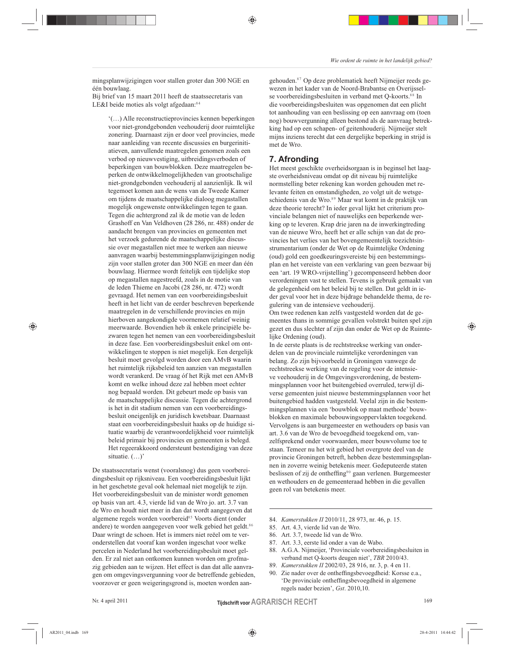mingsplanwijzigingen voor stallen groter dan 300 NGE en één bouwlaag.

Bij brief van 15 maart 2011 heeft de staatssecretaris van LE&I beide moties als volgt afgedaan:84

'(...) Alle reconstructieprovincies kennen beperkingen voor niet-grondgebonden veehouderij door ruimtelijke zonering. Daarnaast zijn er door veel provincies, mede naar aanleiding van recente discussies en burgerinitiatieven, aanvullende maatregelen genomen zoals een verbod op nieuwvestiging, uitbreidingsverboden of beperkingen van bouwblokken. Deze maatregelen beperken de ontwikkelmogelijkheden van grootschalige niet-grondgebonden veehouderij al aanzienlijk. Ik wil tegemoet komen aan de wens van de Tweede Kamer om tijdens de maatschappelijke dialoog megastallen mogelijk ongewenste ontwikkelingen tegen te gaan. Tegen die achtergrond zal ik de motie van de leden Grashoff en Van Veldhoven (28 286, nr. 488) onder de aandacht brengen van provincies en gemeenten met het verzoek gedurende de maatschappelijke discussie over megastallen niet mee te werken aan nieuwe aanvragen waarbij bestemmingsplanwijzigingen nodig zijn voor stallen groter dan 300 NGE en meer dan één bouwlaag. Hiermee wordt feitelijk een tijdelijke stop op megastallen nagestreefd, zoals in de motie van de leden Thieme en Jacobi (28 286, nr. 472) wordt gevraagd. Het nemen van een voorbereidingsbesluit heeft in het licht van de eerder beschreven beperkende maatregelen in de verschillende provincies en mijn hierboven aangekondigde voornemen relatief weinig meerwaarde. Bovendien heb ik enkele principiële bezwaren tegen het nemen van een voorbereidingsbesluit in deze fase. Een voorbereidingsbesluit enkel om ontwikkelingen te stoppen is niet mogelijk. Een dergelijk besluit moet gevolgd worden door een AMvB waarin het ruimtelijk rijksbeleid ten aanzien van megastallen wordt verankerd. De vraag óf het Rijk met een AMvB komt en welke inhoud deze zal hebben moet echter nog bepaald worden. Dit gebeurt mede op basis van de maatschappelijke discussie. Tegen die achtergrond is het in dit stadium nemen van een voorbereidingsbesluit oneigenlijk en juridisch kwetsbaar. Daarnaast staat een voorbereidingsbesluit haaks op de huidige situatie waarbij de verantwoordelijkheid voor ruimtelijk beleid primair bij provincies en gemeenten is belegd. Het regeerakkoord ondersteunt bestendiging van deze situatie.  $(\ldots)$ 

De staatssecretaris wenst (vooralsnog) dus geen voorbereidingsbesluit op rijksniveau. Een voorbereidingsbesluit lijkt in het geschetste geval ook helemaal niet mogelijk te zijn. Het voorbereidingsbesluit van de minister wordt genomen op basis van art. 4.3, vierde lid van de Wro jo. art. 3.7 van de Wro en houdt niet meer in dan dat wordt aangegeven dat algemene regels worden voorbereid<sup>85</sup> Voorts dient (onder andere) te worden aangegeven voor welk gebied het geldt.<sup>86</sup> Daar wringt de schoen. Het is immers niet reëel om te veronderstellen dat vooraf kan worden ingeschat voor welke percelen in Nederland het voorbereidingsbesluit moet gelden. Er zal niet aan ontkomen kunnen worden om grofmazig gebieden aan te wijzen. Het effect is dan dat alle aanvragen om omgevingsvergunning voor de betreffende gebieden, voorzover er geen weigeringsgrond is, moeten worden aangehouden.<sup>87</sup> Op deze problematiek heeft Nijmeijer reeds gewezen in het kader van de Noord-Brabantse en Overijsselse voorbereidingsbesluiten in verband met Q-koorts.<sup>88</sup> In die voorbereidingsbesluiten was opgenomen dat een plicht tot aanhouding van een beslissing op een aanvraag om (toen nog) bouwvergunning alleen bestond als de aanvraag betrekking had op een schapen- of geitenhouderij. Nijmeijer stelt mijns inziens terecht dat een dergelijke beperking in strijd is met de Wro.

# 7. Afronding

♠

Het meest geschikte overheidsorgaan is in beginsel het laagste overheidsniveau omdat op dit niveau bij ruimtelijke normstelling beter rekening kan worden gehouden met relevante feiten en omstandigheden, zo volgt uit de wetsgeschiedenis van de Wro.<sup>89</sup> Maar wat komt in de praktijk van deze theorie terecht? In ieder geval lijkt het criterium provinciale belangen niet of nauwelijks een beperkende werking op te leveren. Krap drie jaren na de inwerkingtreding van de nieuwe Wro, heeft het er alle schijn van dat de provincies het verlies van het bovengemeentelijk toezichtsinstrumentarium (onder de Wet op de Ruimtelijke Ordening (oud) gold een goedkeuringsvereiste bij een bestemmingsplan en het vereiste van een verklaring van geen bezwaar bij een 'art. 19 WRO-vrijstelling') gecompenseerd hebben door verordeningen vast te stellen. Tevens is gebruik gemaakt van de gelegenheid om het beleid bij te stellen. Dat geldt in ieder geval voor het in deze bijdrage behandelde thema, de regulering van de intensieve veehouderij.

Om twee redenen kan zelfs vastgesteld worden dat de gemeentes thans in sommige gevallen volstrekt buiten spel zijn gezet en dus slechter af zijn dan onder de Wet op de Ruimtelijke Ordening (oud).

In de eerste plaats is de rechtstreekse werking van onderdelen van de provinciale ruimtelijke verordeningen van belang. Zo zijn bijvoorbeeld in Groningen vanwege de rechtstreekse werking van de regeling voor de intensieve veehouderij in de Omgevingsverordening, de bestemmingsplannen voor het buitengebied overruled, terwijl diverse gemeenten juist nieuwe bestemmingsplannen voor het buitengebied hadden vastgesteld. Veelal zijn in die bestemmingsplannen via een 'bouwblok op maat methode' bouwblokken en maximale bebouwingsoppervlakten toegekend. Vervolgens is aan burgemeester en wethouders op basis van art. 3.6 van de Wro de bevoegdheid toegekend om, vanzelfsprekend onder voorwaarden, meer bouwvolume toe te staan. Temeer nu het wit gebied het overgrote deel van de provincie Groningen betreft, hebben deze bestemmingsplannen in zoverre weinig betekenis meer. Gedeputeerde staten beslissen of zij de ontheffing<sup>90</sup> gaan verlenen. Burgemeester en wethouders en de gemeenteraad hebben in die gevallen geen rol van betekenis meer.

- 84. Kamerstukken II 2010/11, 28 973, nr. 46, p. 15.
- 85. Art. 4.3, vierde lid van de Wro.
- 86. Art. 3.7, tweede lid van de Wro.
- 87. Art. 3.3, eerste lid onder a van de Wabo.
- 88. A.G.A. Nijmeijer, 'Provinciale voorbereidingsbesluiten in verband met Q-koorts deugen niet', TBR 2010/43.
- Kamerstukken II 2002/03, 28 916, nr. 3, p. 4 en 11. 89.
- 90. Zie nader over de ontheffingsbevoegdheid: Korsse e.a., 'De provinciale ontheffingsbevoegdheid in algemene regels nader bezien', Gst. 2010,10.

169

⊕

♠